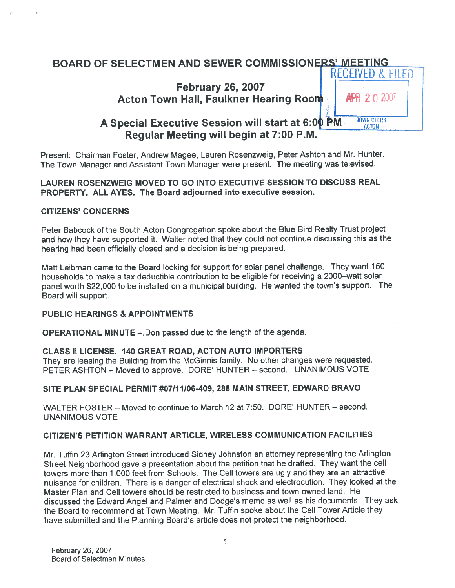# BOARD OF SELECTMEN AND SEWER COMMISSIONERS' MEETING RECEIVED & FILED

February 26, 2007 Acton Town Hall, Faulkner Hearing Room | APR 2 0 2007

# A Special Executive Session will start at 6:00  $\overline{PM}$ . TOWN CLERK Regular Meeting will begin at 7:00 P.M.

Present: Chairman Foster, Andrew Magee, Lauren Rosenzweig, Peter Ashton and Mr. Hunter. The Town Manager and Assistant Town Manager were present. The meeting was televised.

## LAUREN ROSENZWEIG MOVED TO GO INTO EXECUTIVE SESSION TO DISCUSS REAL PROPERTY. ALL AYES. The Board adjourned into executive session.

## CITIZENS' CONCERNS

Peter Babcock of the South Acton Congregation spoke about the Blue Bird Realty Trust project and how they have supported it. Walter noted that they could not continue discussing this as the hearing had been officially closed and <sup>a</sup> decision is being prepared.

Matt Leibman came to the Board looking for suppor<sup>t</sup> for solar pane<sup>l</sup> challenge. They want <sup>150</sup> households to make <sup>a</sup> tax deductible contribution to be eligible for receiving <sup>a</sup> 2000—watt solar pane<sup>l</sup> worth \$22,000 to be installed on <sup>a</sup> municipal building. He wanted the town's support. The Board will support.

#### PUBLIC HEARINGS & APPOINTMENTS

OPERATIONAL MINUTE —.Don passed due to the length of the agenda.

#### CLASS II LICENSE. 140 GREAT ROAD, ACTON AUTO IMPORTERS

They are leasing the Building from the McGinnis family. No other changes were requested. PETER ASHTON — Moved to approve. DORE' HUNTER — second. UNANIMOUS VOTE

## SITE PLAN SPECIAL PERMIT #07111106-409, 288 MAIN STREET, EDWARD BRAVO

WALTER FOSTER — Moved to continue to March 12 at 7:50. DORE' HUNTER — second. UNANIMOUS VOTE

## CITIZEN'S PETITION WARRANT ARTICLE, WIRELESS COMMUNICATION FACILITIES

Mr. Tuffin <sup>23</sup> Arlington Street introduced Sidney Johnston an attorney representing the Arlington Street Neighborhood gave <sup>a</sup> presentation about the petition that he drafted. They want the cell towers mote than 1,000 feet from Schools. The Cell towers are ugly and they are an attractive nuisance for children. There is <sup>a</sup> danger of electrical shock and electrocution. They looked at the Master Plan and Cell towers should be restricted to business and town owned land. He discussed the Edward Angel and Palmer and Dodge's memo as well as his documents. They ask the Board to recommend at Town Meeting. Mr. Tuffin spoke about the Cell Tower Article they have submitted and the Planning Board's article does not protect the neighborhood.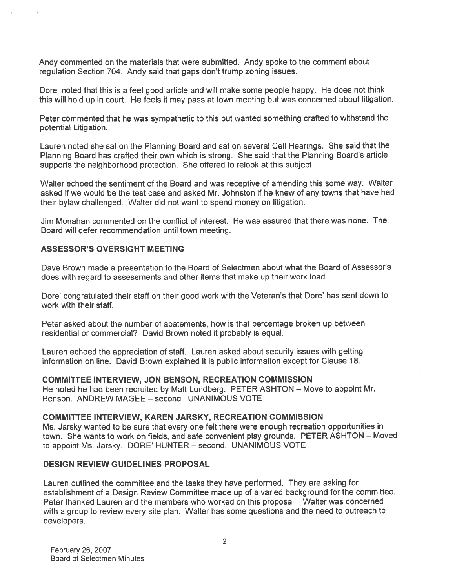Andy commented on the materials that were submitted. Andy spoke to the comment about regulation Section 704. Andy said that gaps don't trump zoning issues.

Dore' noted that this is <sup>a</sup> feel good article and will make some people happy. He does not think this will hold up in court. He feels it may pass at town meeting but was concerned about litigation.

Peter commented that he was sympathetic to this but wanted something crafted to withstand the potential Litigation.

Lauren noted she sat on the Planning Board and sat on several Cell Hearings. She said that the Planning Board has crafted their own which is strong. She said that the Planning Board's article supports the neighborhood protection. She offered to relook at this subject.

Walter echoed the sentiment of the Board and was receptive of amending this some way. Walter asked if we would be the test case and asked Mr. Johnston if he knew of any towns that have had their bylaw challenged. Walter did not want to spend money on litigation.

Jim Monahan commented on the conflict of interest. He was assured that there was none. The Board will defer recommendation until town meeting.

#### ASSESSOR'S OVERSIGHT MEETING

Dave Brown made <sup>a</sup> presentation to the Board of Selectmen about what the Board of Assessor's does with regard to assessments and other items that make up their work load.

Dore' congratulated their staff on their good work with the Veteran's that Dore' has sent down to work with their staff.

Peter asked about the number of abatements, how is that percentage broken up between residential or commercial? David Brown noted it probably is equal.

Lauren echoed the appreciation of staff. Lauren asked about security issues with getting information on line. David Brown explained it is public information excep<sup>t</sup> for Clause 18.

COMMITTEE INTERVIEW, JON BENSON, RECREATION COMMISSION He noted he had been recruited by Matt Lundberg. PETER ASHTON — Move to appoint Mr. Benson. ANDREW MAGEE — second. UNANIMOUS VOTE

#### COMMITTEE INTERVIEW, KAREN JARSKY, RECREATION COMMISSION

Ms. Jarsky wanted to be sure that every one felt there were enoug<sup>h</sup> recreation opportunities in town. She wants to work on fields, and safe convenient <sup>p</sup>lay grounds. PETER ASHTON — Moved to appoint Ms. Jarsky. DORE' HUNTER — second. UNANIMOUS VOTE

#### DESIGN REVIEW GUIDELINES PROPOSAL

Lauren outlined the committee and the tasks they have performed. They are asking for establishment of <sup>a</sup> Design Review Committee made up of <sup>a</sup> varied background for the committee. Peter thanked Lauren and the members who worked on this proposal. Walter was concerned with <sup>a</sup> group to review every site <sup>p</sup>lan. Walter has some questions and the need to outreach to developers.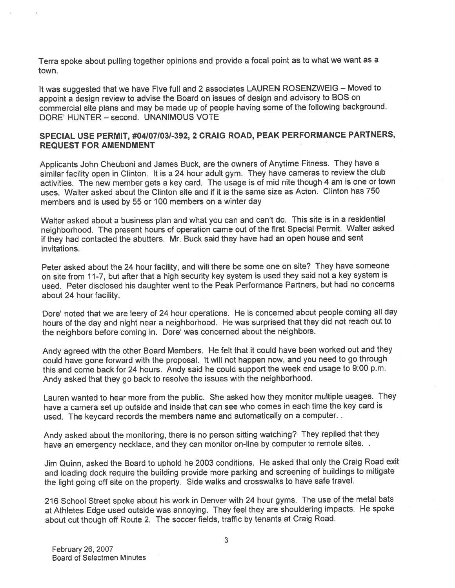Terra spoke about pulling together opinions and provide <sup>a</sup> focal point as to what we want as <sup>a</sup> town.

It was suggested that we have Five full and <sup>2</sup> associates LAUREN ROSENZWEIG — Moved to appoint <sup>a</sup> design review to advise the Board on issues of design and advisory to EQS on commercial site <sup>p</sup>lans and may be made up of people having some of the following background. DORE' HUNTER — second. UNANIMOUS VOTE

## SPECIAL USE PERMIT, #041071031-392, <sup>2</sup> CRAIG ROAD, PEAK PERFORMANCE PARTNERS, REQUEST FOR AMENDMENT

Applicants John Cheuboni and James Buck, are the owners of Anytime Fitness. They have <sup>a</sup> similar facility open in Clinton. It is <sup>a</sup> <sup>24</sup> hour adult gym. They have cameras to review the club activities. The new member gets <sup>a</sup> key card. The usage is of mid nite though <sup>4</sup> am is one or town uses. Walter asked about the Clinton site and if it is the same size as Acton. Clinton has 750 members and is used by 55 or 100 members on <sup>a</sup> winter day

Walter asked about <sup>a</sup> business <sup>p</sup>lan and what you can and can't do. This site is in <sup>a</sup> residential neighborhood. The presen<sup>t</sup> hours of operation came out of the first Special Permit. Walter asked if they had contacted the abutters. Mr. Buck said they have had an open house and sent invitations.

Peter asked about the <sup>24</sup> hour facility, and will there be some one on site? They have someone on site from 11-7, but after that <sup>a</sup> high security key system is used they said not <sup>a</sup> key system is used. Peter disclosed his daughter went to the Peak Performance Partners, but had no concerns about 24 hour facility.

Dote' noted that we are leery of <sup>24</sup> hour operations. He is concerned about people coming all day hours of the day and night near <sup>a</sup> neighborhood. He was surprised that they did not reach out to the neighbors before coming in. Dore' was concerned about the neighbors.

Andy agree<sup>d</sup> with the other Board Members. He felt that it could have been worked out and they could have gone forward with the proposal. It will not happen now, and you need to go through this and come back for <sup>24</sup> hours. Andy said he could suppor<sup>t</sup> the week end usage to 9:00 p.m. Andy asked that they go back to resolve the issues with the neighborhood.

Lauren wanted to hear more from the public. She asked how they monitor multiple usages. They have <sup>a</sup> camera set up outside and inside that can see who comes in each time the key card is used. The keycard records the members name and automatically on <sup>a</sup> computer.

Andy asked about the monitoring, there is no person sitting watching? They replied that they have an emergency necklace, and they can monitor on-line by computer to remote sites. .

Jim Quinn, asked the Board to uphold he <sup>2003</sup> conditions. He asked that only the Craig Road exit and loading dock require the building provide more parking and screening of buildings to mitigate the light going off site on the property. Side walks and crosswalks to have safe travel.

<sup>216</sup> School Street spoke about his work in Denver with <sup>24</sup> hour gyms. The use of the metal bats at Athletes Edge used outside was annoying. They feel they are shouldering impacts. He spoke about cut though off Route 2. The soccer fields, traffic by tenants at Craig Road.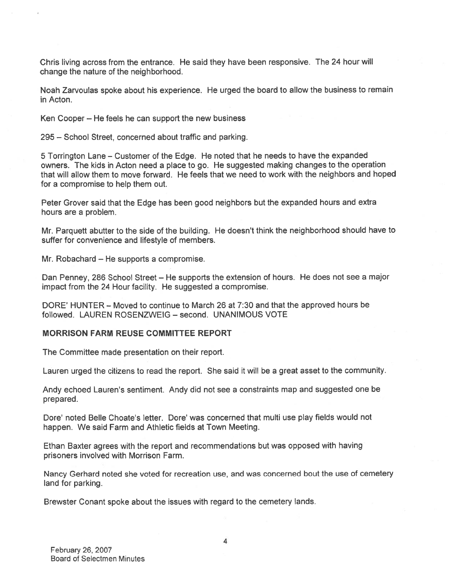Chris living across from the entrance. He said they have been responsive. The 24 hour will change the nature of the neighborhood.

Noah Zarvoulas spoke about his experience. He urge<sup>d</sup> the board to allow the business to remain in Acton.

Ken Cooper — He feels he can suppor<sup>t</sup> the new business

295 — School Street, concerned about traffic and parking.

5 Torrington Lane — Customer of the Edge. He noted that he needs to have the expanded owners. The kids in Acton need <sup>a</sup> <sup>p</sup>lace to go. He suggested making changes to the operation that will allow them to move forward. He feels that we need to work with the neighbors and hoped for <sup>a</sup> compromise to help them out.

Peter Grover said that the Edge has been good neighbors but the expanded hours and extra hours are <sup>a</sup> problem.

Mr. Parquett abutter to the side of the building. He doesn't think the neighborhood should have to suffer for convenience and lifestyle of members.

Mr. Robachard — He supports <sup>a</sup> compromise.

Dan Penney, <sup>286</sup> School Street — He supports the extension of hours. He does not see <sup>a</sup> major impact from the 24 Hour facility. He suggested <sup>a</sup> compromise.

DORE' HUNTER — Moved to continue to March 26 at 7:30 and that the approved hours be followed. LAUREN ROSENZWEIG — second. UNANIMOUS VOTE

#### MORRISON FARM REUSE COMMITTEE REPORT

The Committee made presentation on their report.

Lauren urged the citizens to read the report. She said it will be <sup>a</sup> grea<sup>t</sup> asset to the community.

Andy echoed Lauren's sentiment. Andy did not see <sup>a</sup> constraints map and suggested one be prepared.

Dore' noted Belle Choate's letter. Dore' was concerned that multi use play fields would not happen. We said Farm and Athletic fields at Town Meeting.

Ethan Baxter agrees with the repor<sup>t</sup> and recommendations but was oppose<sup>d</sup> with having prisoners involved with Morrison Farm.

Nancy Gerhard noted she voted for recreation use, and was concerned bout the use of cemetery land for parking.

Brewster Conant spoke about the issues with regard to the cemetery lands.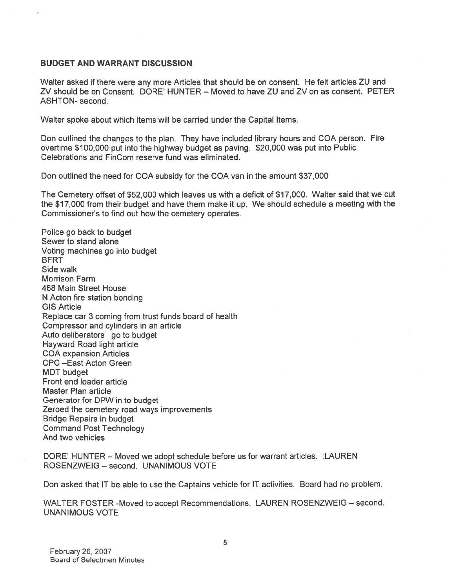#### BUDGET AND WARRANT DISCUSSION

Walter asked if there were any more Articles that should be on consent. He felt articles ZU and ZV should be on Consent. DORE' HUNTER — Moved to have ZU and ZV on as consent. PETER ASHTON- second.

Walter spoke about which items will be carried under the Capital Items.

Don outlined the changes to the <sup>p</sup>lan. They have included library hours and COA person. Fire overtime \$100,000 pu<sup>t</sup> into the highway budget as paving. \$20,000 was pu<sup>t</sup> into Public Celebrations and FinCom reserve fund was eliminated.

Don outlined the need for COA subsidy for the COA van in the amount \$37,000

The Cemetery offset of \$52,000 which leaves us with <sup>a</sup> deficit of \$17,000. Walter said that we cut the \$17,000 from their budget and have them make it up. We should schedule <sup>a</sup> meeting with the Commissioner's to find out how the cemetery operates.

Police go back to budget Sewer to stand alone Voting machines go into budget **BFRT** Side walk Morrison Farm 468 Main Street House N Acton fire station bonding GIS Article Replace car 3 coming from trust funds board of health Compressor and cylinders in an article Auto deliberators go to budget Hayward Road light article COA expansion Articles CPC —East Acton Green MDT budget Front end loader article Master Plan article Generator for DPW in to budget Zeroed the cemetery road ways improvements Bridge Repairs in budget Command Post Technology And two vehicles

DORE' HUNTER - Moved we adopt schedule before us for warrant articles. : LAUREN ROSENZWEIG — second. UNANIMOUS VOTE

Don asked that IT be able to use the Captains vehicle for IT activities. Board had no problem.

WALTER FOSTER -Moved to accep<sup>t</sup> Recommendations. LAUREN ROSENZWEIG — second. UNANIMOUS VOTE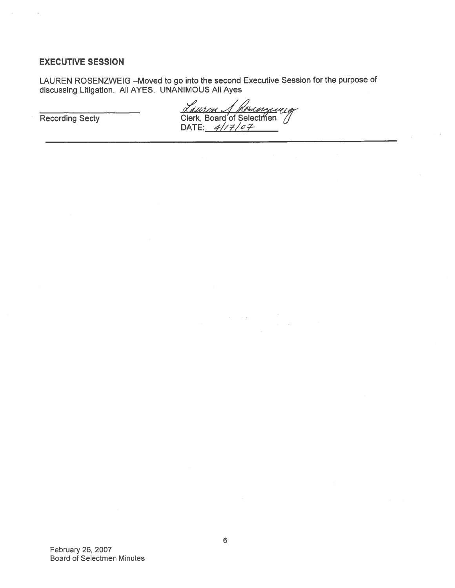## EXECUTIVE SESSION

LAUREN ROSENZWEIG —Moved to go into the second Executive Session for the purpose of discussing Litigation. All AYES. UNANIMOUS All Ayes

Recording Secty Clerk, Board of Selectrfi'en <sup>9</sup> DATE: //z/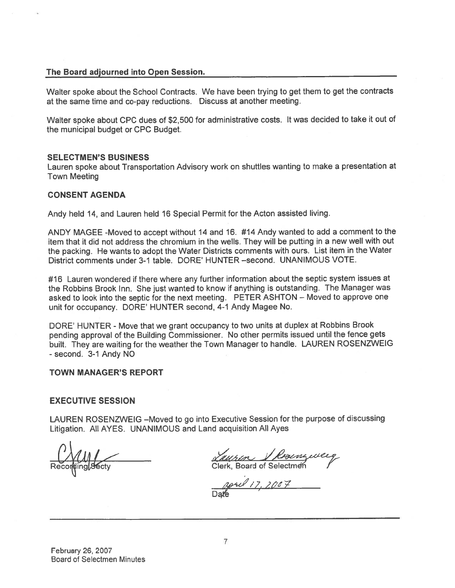### The Board adjourned into Open Session.

Walter spoke about the School Contracts. We have been trying to ge<sup>t</sup> them to ge<sup>t</sup> the contracts at the same time and co-pay reductions. Discuss at another meeting.

Walter spoke about CPC dues of \$2,500 for administrative costs. It was decided to take it out of the municipal budget or CPC Budget.

#### SELECTMEN'S BUSINESS

Lauren spoke about Transportation Advisory work on shuffles wanting to make <sup>a</sup> presentation at Town Meeting

#### CONSENT AGENDA

Andy held 14, and Lauren held <sup>16</sup> Special Permit for the Acton assisted living.

ANDY MAGEE -Moved to accep<sup>t</sup> without <sup>14</sup> and 16. #14 Andy wanted to add <sup>a</sup> comment to the item that it did not address the chromium in the wells. They will be putting in <sup>a</sup> new well with out the packing. He wants to adopt the Water Districts comments with ours. List item in the Water District comments under 3-1 table. DORE' HUNTER —second. UNANIMOUS VOTE.

#16 Lauren wondered if there where any further information about the septic system issues at the Robbins Brook Inn. She just wanted to know if anything is outstanding. The Manager was asked to look into the septic for the next meeting. PETER ASHTON — Moved to approve one unit for occupancy. DORE' HUNTER second, 4-1 Andy Magee No.

DORE' HUNTER - Move that we gran<sup>t</sup> occupancy to two units at duplex at Robbins Brook pending approva<sup>l</sup> of the Building Commissioner. No other permits issued until the fence gets built. They are waiting for the weather the Town Manager to handle. LAUREN ROSENZWEIG -second. 3-1 Andy NO

#### TOWN MANAGER'S REPORT

#### EXECUTIVE SESSION

LAUREN ROSENZWEIG —Moved to go into Executive Session for the purpose of discussing Litigation. All AYES. UNANIMOUS and Land acquisition All Ayes

<u>Lausin V Repenguee</u><br>Clerk, Board of Selectmen

goril 17, 2007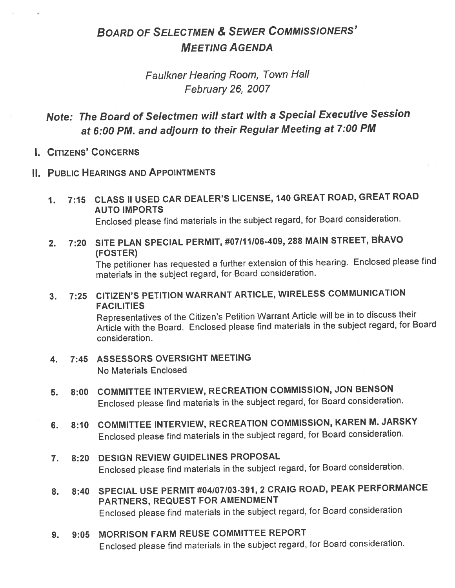# BOARD OF SELECTMEN & SEWER COMMISSIONERS' MEETING AGENDA

# Faulkner Hearing Room, Town Hall February 26, 2007

# Note: The Board of Selectmen will start with <sup>a</sup> Special Executive Session at 6:00 PM. and adjourn to their Regular Meeting at 7:00 PM

I. CITIZENS' CONCERNS

# II. PUBLIC HEARINGS AND APPOINTMENTS

1. 7:15 CLASS II USED CAR DEALER'S LICENSE, <sup>140</sup> GREAT ROAD, GREAT ROAD AUTO IMPORTS

Enclosed <sup>p</sup>lease find materials in the subject regard, for Board consideration.

2. 7:20 SITE PLAN SPECIAL PERMIT, #07/11106-409, <sup>288</sup> MAIN STREET, BRAVO (FOSTER)

The petitioner has requested a further extension of this hearing. Enclosed please find materials in the subject regard, for Board consideration.

3. 7:25 CITIZEN'S PETITION WARRANT ARTICLE, WIRELESS COMMUNICATION FACILITIES

Representatives of the Citizen's Petition Warrant Article will be in to discuss their Article with the Board. Enclosed <sup>p</sup>lease find materials in the subject regard, for Board consideration.

- 4. 7:45 ASSESSORS OVERSIGHT MEETING No Materials Enclosed
- 5. 8:00 COMMITTEE INTERVIEW, RECREATION COMMISSION, JON BENSON Enclosed <sup>p</sup>lease find materials in the subject regard, for Board consideration.
- 6. 8:10 COMMITTEE INTERVIEW, RECREATION COMMISSION, KAREN M. JARSKY Enclosed <sup>p</sup>lease find materials in the subject regard, for Board consideration.

# 7. 8:20 DESIGN REVIEW GUIDELINES PROPOSAL Enclosed <sup>p</sup>lease find materials in the subject regard, for Board consideration.

- 8. 8:40 SPECIAL USE PERMIT #04107/03-391, <sup>2</sup> CRAIG ROAD, PEAK PERFORMANCE PARTNERS, REQUEST FOR AMENDMENT Enclosed <sup>p</sup>lease find materials in the subject regard, for Board consideration
- 9. 9:05 MORRISON FARM REUSE COMMITTEE REPORT Enclosed <sup>p</sup>lease find materials in the subject regard, for Board consideration.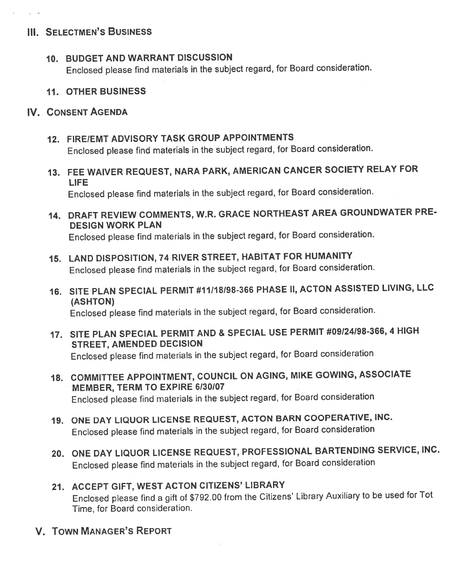# III. SELECTMEN'S BUSINESS

 $\mu$  =  $10^{\circ}$ 

10. BUDGET AND WARRANT DISCUSSION

Enclosed <sup>p</sup>lease find materials in the subject regard, for Board consideration.

11. OTHER BUSINESS

# IV. CONSENT AGENDA

- 12. FIRE/EMT ADVISORY TASK GROUP APPOINTMENTS Enclosed <sup>p</sup>lease find materials in the subject regard, for Board consideration.
- 13. FEE WAIVER REQUEST, NARA PARK, AMERICAN CANCER SOCIETY RELAY FOR LIFE

Enclosed <sup>p</sup>lease find materials in the subject regard, for Board consideration.

14. DRAFT REVIEW COMMENTS, W.R. GRACE NORTHEAST AREA GROUNDWATER PRE DESIGN WORK PLAN

Enclosed <sup>p</sup>lease find materials in the subject regard, for Board consideration.

- 15. LAND DISPOSITION, <sup>74</sup> RIVER STREET, HABITAT FOR HUMANITY Enclosed <sup>p</sup>lease find materials in the subject regard, for Board consideration.
- 16. SITE PLAN SPECIAL PERMIT #11/18/98-366 PHASE II, ACTON ASSISTED LIVING, LLC (ASHTON) Enclosed <sup>p</sup>lease find materials in the subject regard, for Board consideration.
- 17. SITE PLAN SPECIAL PERMIT AND & SPECIAL USE PERMIT #09124198-366, <sup>4</sup> HIGH STREET, AMENDED DECISION Enclosed <sup>p</sup>lease find materials in the subject regard, for Board consideration
- 1\$. COMMITTEE APPOINTMENT, COUNCIL ON AGING, MIKE GOWING, ASSOCIATE MEMBER, TERM TO EXPIRE 6/30/07 Enclosed <sup>p</sup>lease find materials in the subject regard, for Board consideration
- 19. ONE DAY UQUOR LICENSE REQUEST, ACTON BARN COOPERATIVE, INC. Enclosed <sup>p</sup>lease find materials in the subject regard, for Board consideration
- 20. ONE DAY LIQUOR LICENSE REQUEST, PROFESSIONAL BARTENDING SERVICE, INC. Enclosed <sup>p</sup>lease find materials in the subject regard, for Board consideration
- 21. ACCEPT GIFT, WEST ACTON CITIZENS' LIBRARY Enclosed <sup>p</sup>lease find <sup>a</sup> <sup>g</sup>ift of \$792.00 from the Citizens' Library Auxiliary to be used for Tot Time, for Board consideration.
- V. TOWN MANAGER'S REPORT